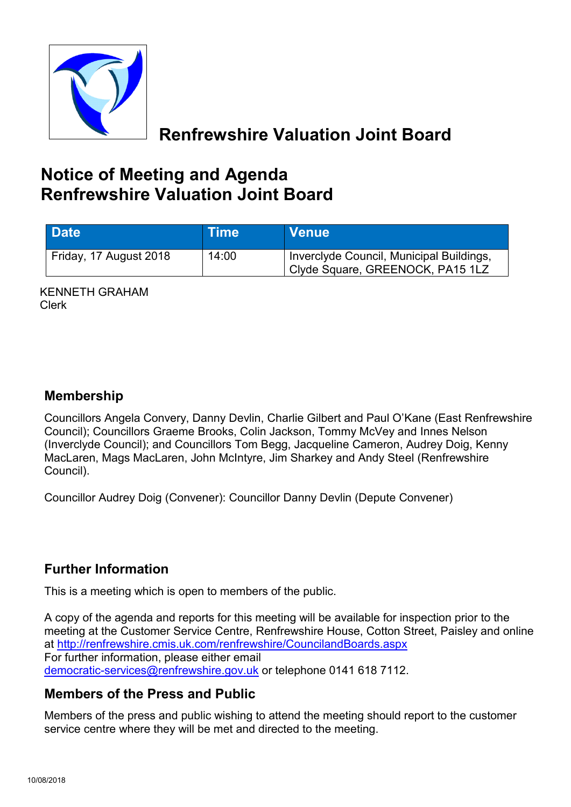

**Renfrewshire Valuation Joint Board**

# **Notice of Meeting and Agenda Renfrewshire Valuation Joint Board**

| <b>Date</b>            | <b>Time</b> | <b>Venue</b>                                                                 |
|------------------------|-------------|------------------------------------------------------------------------------|
| Friday, 17 August 2018 | 14:00       | Inverclyde Council, Municipal Buildings,<br>Clyde Square, GREENOCK, PA15 1LZ |

KENNETH GRAHAM Clerk

#### **Membership**

Councillors Angela Convery, Danny Devlin, Charlie Gilbert and Paul O'Kane (East Renfrewshire Council); Councillors Graeme Brooks, Colin Jackson, Tommy McVey and Innes Nelson (Inverclyde Council); and Councillors Tom Begg, Jacqueline Cameron, Audrey Doig, Kenny MacLaren, Mags MacLaren, John McIntyre, Jim Sharkey and Andy Steel (Renfrewshire Council).

Councillor Audrey Doig (Convener): Councillor Danny Devlin (Depute Convener)

## **Further Information**

This is a meeting which is open to members of the public.

A copy of the agenda and reports for this meeting will be available for inspection prior to the meeting at the Customer Service Centre, Renfrewshire House, Cotton Street, Paisley and online at <http://renfrewshire.cmis.uk.com/renfrewshire/CouncilandBoards.aspx> For further information, please either email [democratic-services@renfrewshire.gov.uk](mailto:democratic-services@renfrewshire.gov.uk) or telephone 0141 618 7112.

## **Members of the Press and Public**

Members of the press and public wishing to attend the meeting should report to the customer service centre where they will be met and directed to the meeting.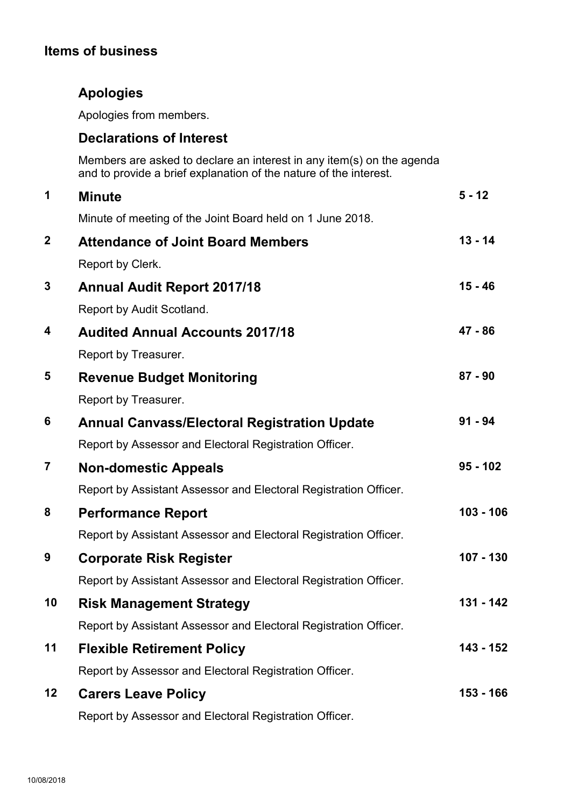## **Items of business**

## **Apologies**

Apologies from members.

#### **Declarations of Interest**

Members are asked to declare an interest in any item(s) on the agenda and to provide a brief explanation of the nature of the interest.

| 1                       | <b>Minute</b>                                                    | $5 - 12$   |
|-------------------------|------------------------------------------------------------------|------------|
|                         | Minute of meeting of the Joint Board held on 1 June 2018.        |            |
| $\mathbf{2}$            | <b>Attendance of Joint Board Members</b>                         | $13 - 14$  |
|                         | Report by Clerk.                                                 |            |
| $\mathbf 3$             | <b>Annual Audit Report 2017/18</b>                               | $15 - 46$  |
|                         | Report by Audit Scotland.                                        |            |
| 4                       | <b>Audited Annual Accounts 2017/18</b>                           | $47 - 86$  |
|                         | Report by Treasurer.                                             |            |
| 5                       | <b>Revenue Budget Monitoring</b>                                 | $87 - 90$  |
|                         | Report by Treasurer.                                             |            |
| 6                       | <b>Annual Canvass/Electoral Registration Update</b>              | $91 - 94$  |
|                         | Report by Assessor and Electoral Registration Officer.           |            |
| $\overline{\mathbf{7}}$ | <b>Non-domestic Appeals</b>                                      | $95 - 102$ |
|                         | Report by Assistant Assessor and Electoral Registration Officer. |            |
| 8                       | <b>Performance Report</b>                                        | 103 - 106  |
|                         | Report by Assistant Assessor and Electoral Registration Officer. |            |
| 9                       | <b>Corporate Risk Register</b>                                   | 107 - 130  |
|                         | Report by Assistant Assessor and Electoral Registration Officer. |            |
| 10                      | <b>Risk Management Strategy</b>                                  | 131 - 142  |
|                         | Report by Assistant Assessor and Electoral Registration Officer. |            |
| 11                      | <b>Flexible Retirement Policy</b>                                | 143 - 152  |
|                         | Report by Assessor and Electoral Registration Officer.           |            |
| 12                      | <b>Carers Leave Policy</b>                                       | 153 - 166  |
|                         | Report by Assessor and Electoral Registration Officer.           |            |